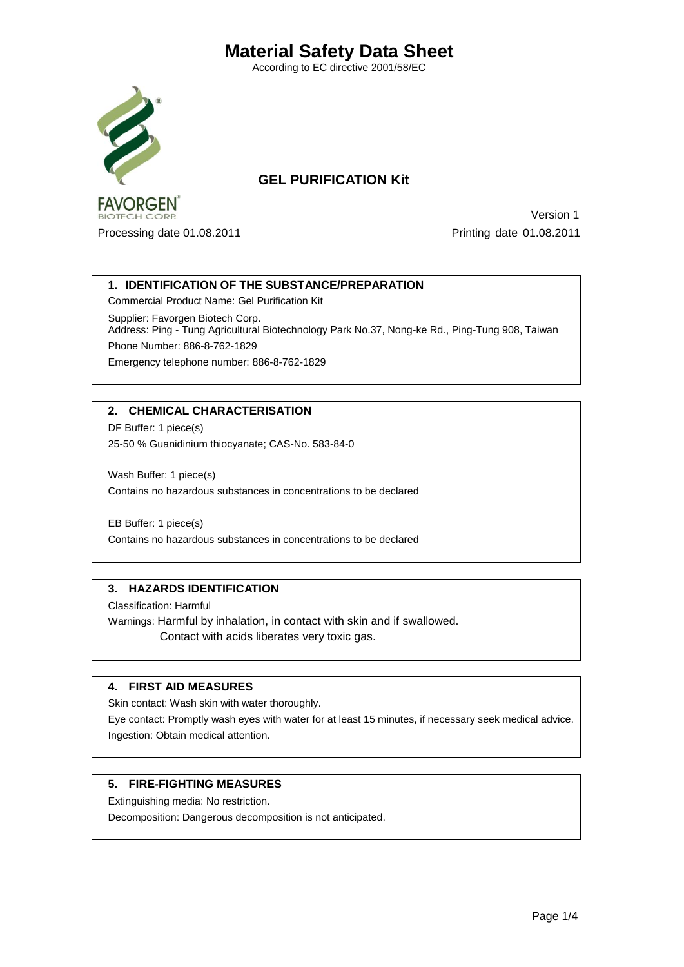According to EC directive 2001/58/EC



# **GEL PURIFICATION Kit**

 Version 1 Processing date 01.08.2011 Processing date 01.08.2011

### **1. IDENTIFICATION OF THE SUBSTANCE/PREPARATION**

Commercial Product Name: Gel Purification Kit

Supplier: Favorgen Biotech Corp. Address: Ping - Tung Agricultural Biotechnology Park No.37, Nong-ke Rd., Ping-Tung 908, Taiwan Phone Number: 886-8-762-1829 Emergency telephone number: 886-8-762-1829

# **2. CHEMICAL CHARACTERISATION**

DF Buffer: 1 piece(s) 25-50 % Guanidinium thiocyanate; CAS-No. 583-84-0

Wash Buffer: 1 piece(s) Contains no hazardous substances in concentrations to be declared

EB Buffer: 1 piece(s) Contains no hazardous substances in concentrations to be declared

### **3. HAZARDS IDENTIFICATION**

Classification: Harmful

Warnings: Harmful by inhalation, in contact with skin and if swallowed. Contact with acids liberates very toxic gas.

### **4. FIRST AID MEASURES**

Skin contact: Wash skin with water thoroughly.

Eye contact: Promptly wash eyes with water for at least 15 minutes, if necessary seek medical advice. Ingestion: Obtain medical attention.

### **5. FIRE-FIGHTING MEASURES**

Extinguishing media: No restriction.

Decomposition: Dangerous decomposition is not anticipated.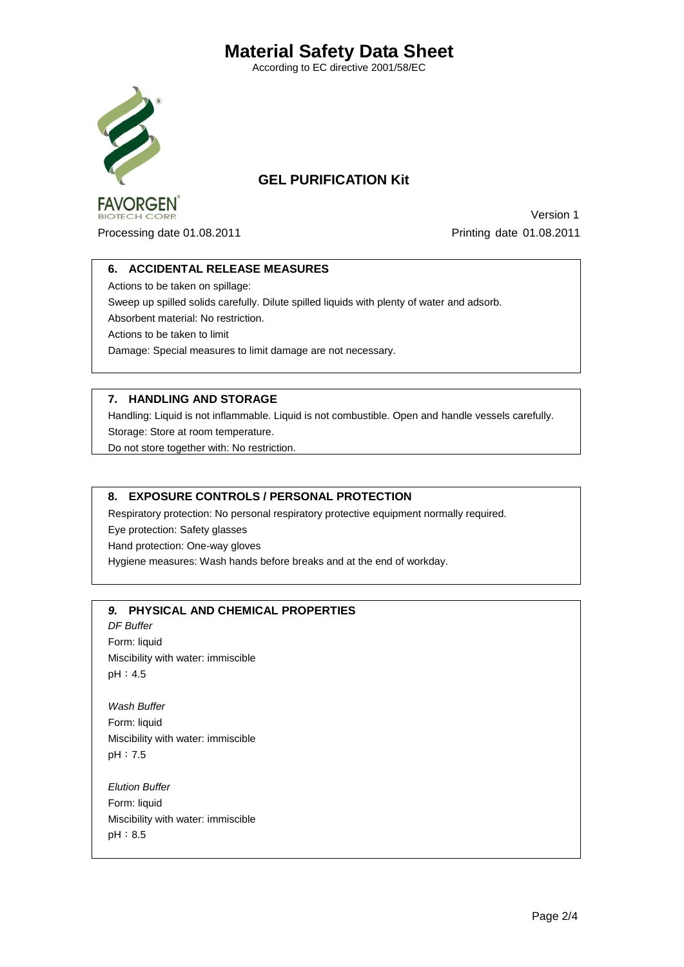According to EC directive 2001/58/EC



# **GEL PURIFICATION Kit**

 Version 1 Processing date 01.08.2011 Processing date 01.08.2011

### **6. ACCIDENTAL RELEASE MEASURES**

Actions to be taken on spillage:

Sweep up spilled solids carefully. Dilute spilled liquids with plenty of water and adsorb.

Absorbent material: No restriction.

Actions to be taken to limit

Damage: Special measures to limit damage are not necessary.

# **7. HANDLING AND STORAGE**

Handling: Liquid is not inflammable. Liquid is not combustible. Open and handle vessels carefully. Storage: Store at room temperature.

Do not store together with: No restriction.

### **8. EXPOSURE CONTROLS / PERSONAL PROTECTION**

Respiratory protection: No personal respiratory protective equipment normally required.

Eye protection: Safety glasses

Hand protection: One-way gloves

Hygiene measures: Wash hands before breaks and at the end of workday.

# *9.* **PHYSICAL AND CHEMICAL PROPERTIES**

*DF Buffer*  Form: liquid Miscibility with water: immiscible pH:4.5

*Wash Buffer* Form: liquid Miscibility with water: immiscible pH:7.5

*Elution Buffer* Form: liquid Miscibility with water: immiscible pH:8.5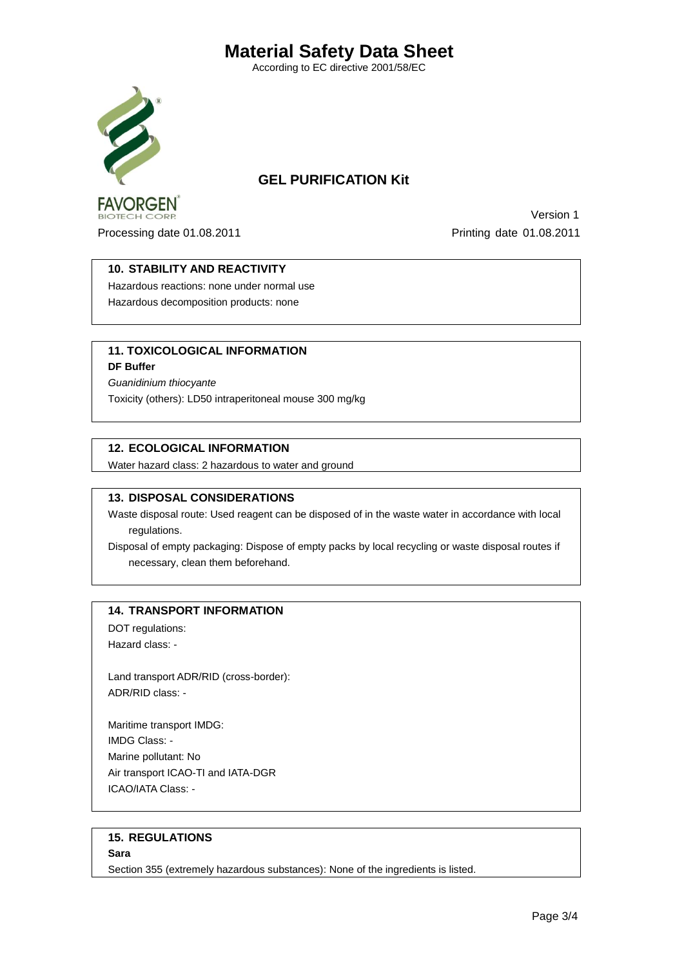According to EC directive 2001/58/EC



# **GEL PURIFICATION Kit**

 Version 1 Processing date 01.08.2011 Processing date 01.08.2011

### **10. STABILITY AND REACTIVITY**

Hazardous reactions: none under normal use Hazardous decomposition products: none

# **11. TOXICOLOGICAL INFORMATION**

**DF Buffer**

*Guanidinium thiocyante* Toxicity (others): LD50 intraperitoneal mouse 300 mg/kg

### **12. ECOLOGICAL INFORMATION**

Water hazard class: 2 hazardous to water and ground

### **13. DISPOSAL CONSIDERATIONS**

Waste disposal route: Used reagent can be disposed of in the waste water in accordance with local regulations.

Disposal of empty packaging: Dispose of empty packs by local recycling or waste disposal routes if necessary, clean them beforehand.

### **14. TRANSPORT INFORMATION**

DOT regulations: Hazard class: -

Land transport ADR/RID (cross-border): ADR/RID class: -

Maritime transport IMDG: IMDG Class: - Marine pollutant: No Air transport ICAO-TI and IATA-DGR ICAO/IATA Class: -

# **15. REGULATIONS**

**Sara**

Section 355 (extremely hazardous substances): None of the ingredients is listed.